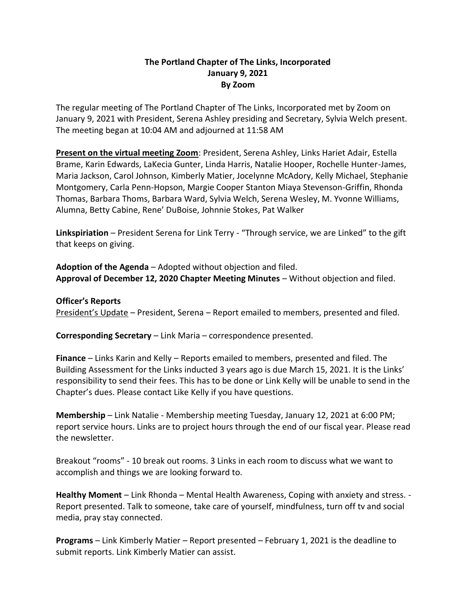## **The Portland Chapter of The Links, Incorporated January 9, 2021 By Zoom**

The regular meeting of The Portland Chapter of The Links, Incorporated met by Zoom on January 9, 2021 with President, Serena Ashley presiding and Secretary, Sylvia Welch present. The meeting began at 10:04 AM and adjourned at 11:58 AM

**Present on the virtual meeting Zoom**: President, Serena Ashley, Links Hariet Adair, Estella Brame, Karin Edwards, LaKecia Gunter, Linda Harris, Natalie Hooper, Rochelle Hunter-James, Maria Jackson, Carol Johnson, Kimberly Matier, Jocelynne McAdory, Kelly Michael, Stephanie Montgomery, Carla Penn-Hopson, Margie Cooper Stanton Miaya Stevenson-Griffin, Rhonda Thomas, Barbara Thoms, Barbara Ward, Sylvia Welch, Serena Wesley, M. Yvonne Williams, Alumna, Betty Cabine, Rene' DuBoise, Johnnie Stokes, Pat Walker

**Linkspiriation** – President Serena for Link Terry - "Through service, we are Linked" to the gift that keeps on giving.

**Adoption of the Agenda** – Adopted without objection and filed. **Approval of December 12, 2020 Chapter Meeting Minutes** – Without objection and filed.

#### **Officer's Reports**

President's Update – President, Serena – Report emailed to members, presented and filed.

**Corresponding Secretary** – Link Maria – correspondence presented.

**Finance** – Links Karin and Kelly – Reports emailed to members, presented and filed. The Building Assessment for the Links inducted 3 years ago is due March 15, 2021. It is the Links' responsibility to send their fees. This has to be done or Link Kelly will be unable to send in the Chapter's dues. Please contact Like Kelly if you have questions.

**Membership** – Link Natalie - Membership meeting Tuesday, January 12, 2021 at 6:00 PM; report service hours. Links are to project hours through the end of our fiscal year. Please read the newsletter.

Breakout "rooms" - 10 break out rooms. 3 Links in each room to discuss what we want to accomplish and things we are looking forward to.

**Healthy Moment** – Link Rhonda – Mental Health Awareness, Coping with anxiety and stress. - Report presented. Talk to someone, take care of yourself, mindfulness, turn off tv and social media, pray stay connected.

**Programs** – Link Kimberly Matier – Report presented – February 1, 2021 is the deadline to submit reports. Link Kimberly Matier can assist.